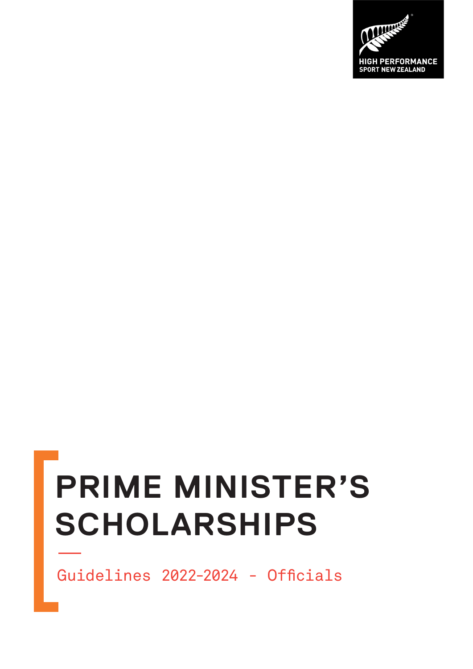# **PRIME MINISTER'S SCHOLARSHIPS**

Guidelines 2022-2024 - Officials

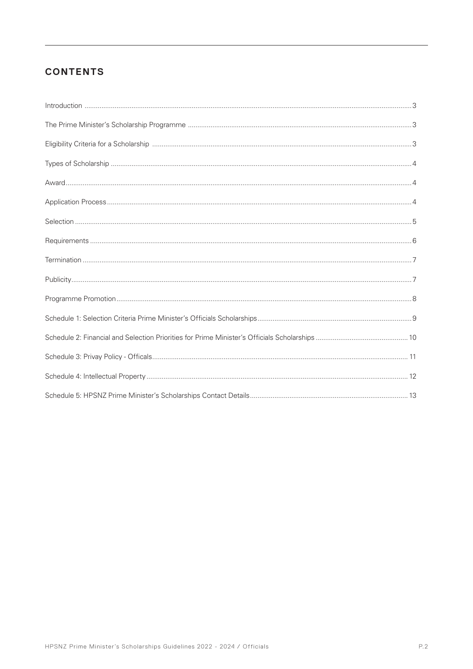## **CONTENTS**

| $\label{prop:1} \mbox{Introduction} \,\, \ldots \,\, \ldots \,\, \ldots \,\, \ldots \,\, \ldots \,\, \ldots \,\, \ldots \,\, \ldots \,\, \ldots \,\, \ldots \,\, \ldots \,\, \ldots \,\, \ldots \,\, \ldots \,\, \ldots \,\, \ldots \,\, \ldots \,\, \ldots \,\, \ldots \,\, \ldots \,\, \ldots \,\, \ldots \,\, \ldots \,\, \ldots \,\, \ldots \,\, \ldots \,\, \ldots \,\, \ldots \,\, \ldots \,\, \ldots \,\, \ldots \,\, \ldots \,\, \ldots \,\, \ldots \,\,$ |  |
|-------------------------------------------------------------------------------------------------------------------------------------------------------------------------------------------------------------------------------------------------------------------------------------------------------------------------------------------------------------------------------------------------------------------------------------------------------------------|--|
|                                                                                                                                                                                                                                                                                                                                                                                                                                                                   |  |
|                                                                                                                                                                                                                                                                                                                                                                                                                                                                   |  |
|                                                                                                                                                                                                                                                                                                                                                                                                                                                                   |  |
|                                                                                                                                                                                                                                                                                                                                                                                                                                                                   |  |
|                                                                                                                                                                                                                                                                                                                                                                                                                                                                   |  |
|                                                                                                                                                                                                                                                                                                                                                                                                                                                                   |  |
|                                                                                                                                                                                                                                                                                                                                                                                                                                                                   |  |
|                                                                                                                                                                                                                                                                                                                                                                                                                                                                   |  |
|                                                                                                                                                                                                                                                                                                                                                                                                                                                                   |  |
|                                                                                                                                                                                                                                                                                                                                                                                                                                                                   |  |
|                                                                                                                                                                                                                                                                                                                                                                                                                                                                   |  |
|                                                                                                                                                                                                                                                                                                                                                                                                                                                                   |  |
|                                                                                                                                                                                                                                                                                                                                                                                                                                                                   |  |
|                                                                                                                                                                                                                                                                                                                                                                                                                                                                   |  |
|                                                                                                                                                                                                                                                                                                                                                                                                                                                                   |  |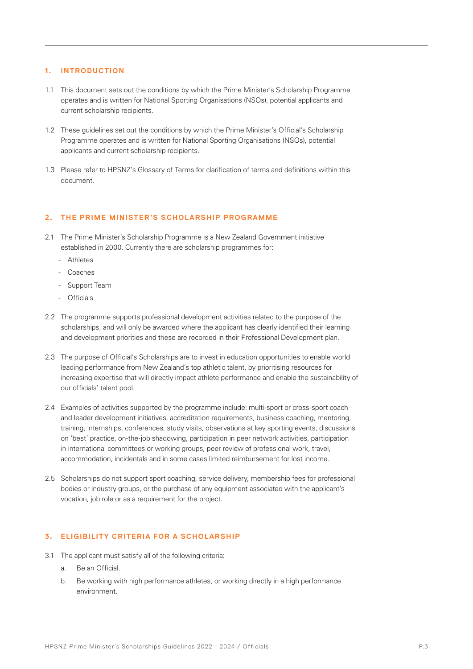### **1. INTRODUCTION**

- 1.1 This document sets out the conditions by which the Prime Minister's Scholarship Programme operates and is written for National Sporting Organisations (NSOs), potential applicants and current scholarship recipients.
- 1.2 These guidelines set out the conditions by which the Prime Minister's Official's Scholarship Programme operates and is written for National Sporting Organisations (NSOs), potential applicants and current scholarship recipients.
- 1.3 Please refer to HPSNZ's Glossary of Terms for clarification of terms and definitions within this document.

### 2. THE PRIME MINISTER'S SCHOLARSHIP PROGRAMME

- 2.1 The Prime Minister's Scholarship Programme is a New Zealand Government initiative established in 2000. Currently there are scholarship programmes for:
	- Athletes
	- Coaches
	- Support Team
	- Officials
- 2.2 The programme supports professional development activities related to the purpose of the scholarships, and will only be awarded where the applicant has clearly identified their learning and development priorities and these are recorded in their Professional Development plan.
- 2.3 The purpose of Official's Scholarships are to invest in education opportunities to enable world leading performance from New Zealand's top athletic talent, by prioritising resources for increasing expertise that will directly impact athlete performance and enable the sustainability of our officials' talent pool.
- 2.4 Examples of activities supported by the programme include: multi-sport or cross-sport coach and leader development initiatives, accreditation requirements, business coaching, mentoring, training, internships, conferences, study visits, observations at key sporting events, discussions on 'best' practice, on-the-job shadowing, participation in peer network activities, participation in international committees or working groups, peer review of professional work, travel, accommodation, incidentals and in some cases limited reimbursement for lost income.
- 2.5 Scholarships do not support sport coaching, service delivery, membership fees for professional bodies or industry groups, or the purchase of any equipment associated with the applicant's vocation, job role or as a requirement for the project.

### **3. ELIGIBILITY CRITERIA FOR A SCHOL ARSHIP**

- 3.1 The applicant must satisfy all of the following criteria:
	- a. Be an Official.
	- b. Be working with high performance athletes, or working directly in a high performance environment.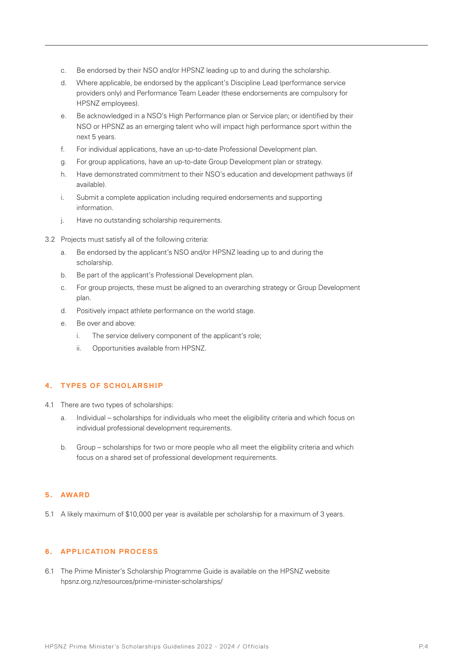- c. Be endorsed by their NSO and/or HPSNZ leading up to and during the scholarship.
- d. Where applicable, be endorsed by the applicant's Discipline Lead (performance service providers only) and Performance Team Leader (these endorsements are compulsory for HPSNZ employees).
- e. Be acknowledged in a NSO's High Performance plan or Service plan; or identified by their NSO or HPSNZ as an emerging talent who will impact high performance sport within the next 5 years.
- f. For individual applications, have an up-to-date Professional Development plan.
- g. For group applications, have an up-to-date Group Development plan or strategy.
- h. Have demonstrated commitment to their NSO's education and development pathways (if available).
- i. Submit a complete application including required endorsements and supporting information.
- j. Have no outstanding scholarship requirements.
- 3.2 Projects must satisfy all of the following criteria:
	- a. Be endorsed by the applicant's NSO and/or HPSNZ leading up to and during the scholarship.
	- b. Be part of the applicant's Professional Development plan.
	- c. For group projects, these must be aligned to an overarching strategy or Group Development plan.
	- d. Positively impact athlete performance on the world stage.
	- e. Be over and above:
		- i. The service delivery component of the applicant's role;
		- ii. Opportunities available from HPSNZ.

### **4. TYPES OF SCHOLARSHIP**

- 4.1 There are two types of scholarships:
	- a. Individual scholarships for individuals who meet the eligibility criteria and which focus on individual professional development requirements.
	- b. Group scholarships for two or more people who all meet the eligibility criteria and which focus on a shared set of professional development requirements.

#### **5. AWARD**

5.1 A likely maximum of \$10,000 per year is available per scholarship for a maximum of 3 years.

### **6. APPLICATION PROCESS**

6.1 The Prime Minister's Scholarship Programme Guide is available on the HPSNZ website hpsnz.org.nz/resources/prime-minister-scholarships/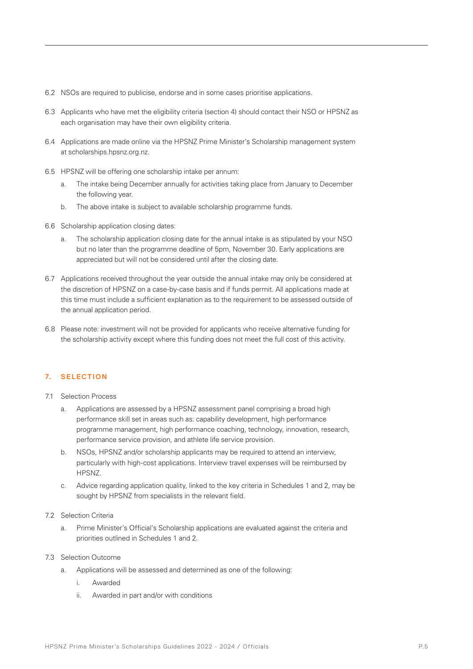- 6.2 NSOs are required to publicise, endorse and in some cases prioritise applications.
- 6.3 Applicants who have met the eligibility criteria (section 4) should contact their NSO or HPSNZ as each organisation may have their own eligibility criteria.
- 6.4 Applications are made online via the HPSNZ Prime Minister's Scholarship management system at scholarships.hpsnz.org.nz.
- 6.5 HPSNZ will be offering one scholarship intake per annum:
	- a. The intake being December annually for activities taking place from January to December the following year.
	- b. The above intake is subject to available scholarship programme funds.
- 6.6 Scholarship application closing dates:
	- a. The scholarship application closing date for the annual intake is as stipulated by your NSO but no later than the programme deadline of 5pm, November 30. Early applications are appreciated but will not be considered until after the closing date.
- 6.7 Applications received throughout the year outside the annual intake may only be considered at the discretion of HPSNZ on a case-by-case basis and if funds permit. All applications made at this time must include a sufficient explanation as to the requirement to be assessed outside of the annual application period.
- 6.8 Please note: investment will not be provided for applicants who receive alternative funding for the scholarship activity except where this funding does not meet the full cost of this activity.

#### **7. SELECTION**

- 7.1 Selection Process
	- a. Applications are assessed by a HPSNZ assessment panel comprising a broad high performance skill set in areas such as: capability development, high performance programme management, high performance coaching, technology, innovation, research, performance service provision, and athlete life service provision.
	- b. NSOs, HPSNZ and/or scholarship applicants may be required to attend an interview, particularly with high-cost applications. Interview travel expenses will be reimbursed by HPSNZ.
	- c. Advice regarding application quality, linked to the key criteria in Schedules 1 and 2, may be sought by HPSNZ from specialists in the relevant field.
- 7.2 Selection Criteria
	- a. Prime Minister's Official's Scholarship applications are evaluated against the criteria and priorities outlined in Schedules 1 and 2.
- 7.3 Selection Outcome
	- a. Applications will be assessed and determined as one of the following:
		- i. Awarded
		- ii. Awarded in part and/or with conditions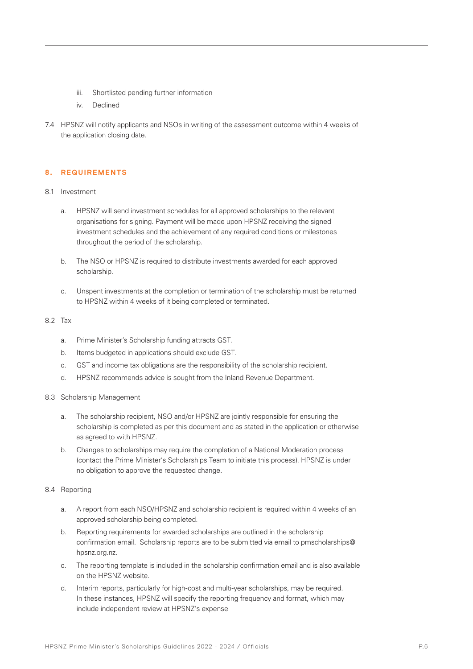- iii. Shortlisted pending further information
- iv. Declined
- 7.4 HPSNZ will notify applicants and NSOs in writing of the assessment outcome within 4 weeks of the application closing date.

### **8. REQUIREMENTS**

- 8.1 Investment
	- a. HPSNZ will send investment schedules for all approved scholarships to the relevant organisations for signing. Payment will be made upon HPSNZ receiving the signed investment schedules and the achievement of any required conditions or milestones throughout the period of the scholarship.
	- b. The NSO or HPSNZ is required to distribute investments awarded for each approved scholarship.
	- c. Unspent investments at the completion or termination of the scholarship must be returned to HPSNZ within 4 weeks of it being completed or terminated.

#### 8.2 Tax

- a. Prime Minister's Scholarship funding attracts GST.
- b. Items budgeted in applications should exclude GST.
- c. GST and income tax obligations are the responsibility of the scholarship recipient.
- d. HPSNZ recommends advice is sought from the Inland Revenue Department.
- 8.3 Scholarship Management
	- a. The scholarship recipient, NSO and/or HPSNZ are jointly responsible for ensuring the scholarship is completed as per this document and as stated in the application or otherwise as agreed to with HPSNZ.
	- b. Changes to scholarships may require the completion of a National Moderation process (contact the Prime Minister's Scholarships Team to initiate this process). HPSNZ is under no obligation to approve the requested change.

#### 8.4 Reporting

- a. A report from each NSO/HPSNZ and scholarship recipient is required within 4 weeks of an approved scholarship being completed.
- b. Reporting requirements for awarded scholarships are outlined in the scholarship confirmation email. Scholarship reports are to be submitted via email to pmscholarships@ hpsnz.org.nz.
- c. The reporting template is included in the scholarship confirmation email and is also available on the HPSNZ website.
- d. Interim reports, particularly for high-cost and multi-year scholarships, may be required. In these instances, HPSNZ will specify the reporting frequency and format, which may include independent review at HPSNZ's expense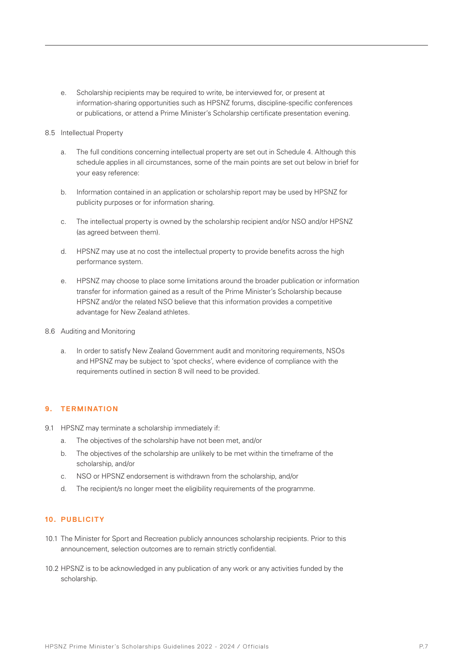e. Scholarship recipients may be required to write, be interviewed for, or present at information-sharing opportunities such as HPSNZ forums, discipline-specific conferences or publications, or attend a Prime Minister's Scholarship certificate presentation evening.

#### 8.5 Intellectual Property

- a. The full conditions concerning intellectual property are set out in Schedule 4. Although this schedule applies in all circumstances, some of the main points are set out below in brief for your easy reference:
- b. Information contained in an application or scholarship report may be used by HPSNZ for publicity purposes or for information sharing.
- c. The intellectual property is owned by the scholarship recipient and/or NSO and/or HPSNZ (as agreed between them).
- d. HPSNZ may use at no cost the intellectual property to provide benefits across the high performance system.
- e. HPSNZ may choose to place some limitations around the broader publication or information transfer for information gained as a result of the Prime Minister's Scholarship because HPSNZ and/or the related NSO believe that this information provides a competitive advantage for New Zealand athletes.
- 8.6 Auditing and Monitoring
	- a. In order to satisfy New Zealand Government audit and monitoring requirements, NSOs and HPSNZ may be subject to 'spot checks', where evidence of compliance with the requirements outlined in section 8 will need to be provided.

#### **9. TERMINATION**

- 9.1 HPSNZ may terminate a scholarship immediately if:
	- a. The objectives of the scholarship have not been met, and/or
	- b. The objectives of the scholarship are unlikely to be met within the timeframe of the scholarship, and/or
	- c. NSO or HPSNZ endorsement is withdrawn from the scholarship, and/or
	- d. The recipient/s no longer meet the eligibility requirements of the programme.

### **10. PUBLICITY**

- 10.1 The Minister for Sport and Recreation publicly announces scholarship recipients. Prior to this announcement, selection outcomes are to remain strictly confidential.
- 10.2 HPSNZ is to be acknowledged in any publication of any work or any activities funded by the scholarship.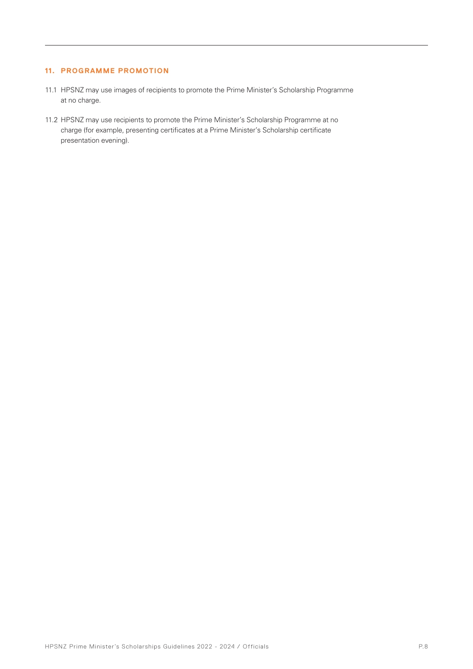### **11. PROGRAMME PROMOTION**

- 11.1 HPSNZ may use images of recipients to promote the Prime Minister's Scholarship Programme at no charge.
- 11.2 HPSNZ may use recipients to promote the Prime Minister's Scholarship Programme at no charge (for example, presenting certificates at a Prime Minister's Scholarship certificate presentation evening).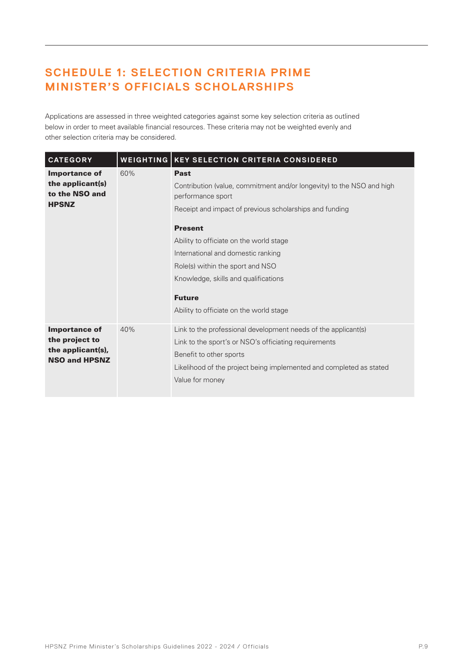# **SCHEDULE 1: SELECTION CRITERIA PRIME MINISTER'S OFFICIALS SCHOLARSHIPS**

Applications are assessed in three weighted categories against some key selection criteria as outlined below in order to meet available financial resources. These criteria may not be weighted evenly and other selection criteria may be considered.

| <b>CATEGORY</b>                                                                     |     | <b>WEIGHTING   KEY SELECTION CRITERIA CONSIDERED</b>                                                                                                                                                                                                                                                                                                                                                            |
|-------------------------------------------------------------------------------------|-----|-----------------------------------------------------------------------------------------------------------------------------------------------------------------------------------------------------------------------------------------------------------------------------------------------------------------------------------------------------------------------------------------------------------------|
| <b>Importance of</b><br>the applicant(s)<br>to the NSO and<br><b>HPSNZ</b>          | 60% | <b>Past</b><br>Contribution (value, commitment and/or longevity) to the NSO and high<br>performance sport<br>Receipt and impact of previous scholarships and funding<br><b>Present</b><br>Ability to officiate on the world stage<br>International and domestic ranking<br>Role(s) within the sport and NSO<br>Knowledge, skills and qualifications<br><b>Future</b><br>Ability to officiate on the world stage |
| <b>Importance of</b><br>the project to<br>the applicant(s),<br><b>NSO and HPSNZ</b> | 40% | Link to the professional development needs of the applicant(s)<br>Link to the sport's or NSO's officiating requirements<br>Benefit to other sports<br>Likelihood of the project being implemented and completed as stated<br>Value for money                                                                                                                                                                    |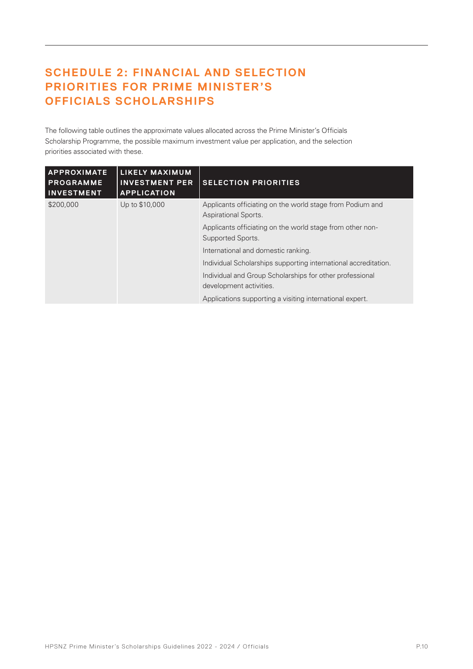# **SCHEDULE 2: FINANCIAL AND SELECTION PRIORITIES FOR PRIME MINISTER'S OFFICIALS SCHOLARSHIPS**

The following table outlines the approximate values allocated across the Prime Minister's Officials Scholarship Programme, the possible maximum investment value per application, and the selection priorities associated with these.

| <b>APPROXIMATE</b><br><b>PROGRAMME</b><br><b>INVESTMENT</b> | <b>LIKELY MAXIMUM</b><br><b>INVESTMENT PER</b><br><b>APPLICATION</b> | <b>SELECTION PRIORITIES</b>                                                              |
|-------------------------------------------------------------|----------------------------------------------------------------------|------------------------------------------------------------------------------------------|
| \$200,000                                                   | Up to \$10,000                                                       | Applicants officiating on the world stage from Podium and<br><b>Aspirational Sports.</b> |
|                                                             |                                                                      | Applicants officiating on the world stage from other non-<br>Supported Sports.           |
|                                                             |                                                                      | International and domestic ranking.                                                      |
|                                                             |                                                                      | Individual Scholarships supporting international accreditation.                          |
|                                                             |                                                                      | Individual and Group Scholarships for other professional<br>development activities.      |
|                                                             |                                                                      | Applications supporting a visiting international expert.                                 |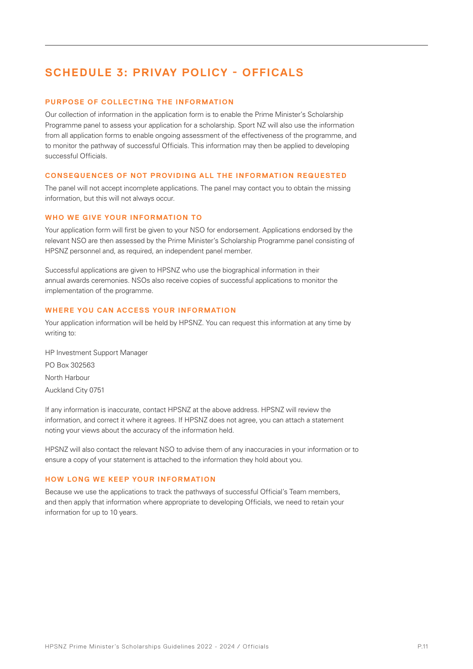# **SCHEDULE 3: PRIVAY POLICY - OFFICALS**

### **PURPOSE OF COLLECTING THE INFORMATION**

Our collection of information in the application form is to enable the Prime Minister's Scholarship Programme panel to assess your application for a scholarship. Sport NZ will also use the information from all application forms to enable ongoing assessment of the effectiveness of the programme, and to monitor the pathway of successful Officials. This information may then be applied to developing successful Officials.

### **CONSEQUENCES OF NOT PROVIDING ALL THE INFORMATION REQUESTED**

The panel will not accept incomplete applications. The panel may contact you to obtain the missing information, but this will not always occur.

### **WHO WE GIVE YOUR INFORMATION TO**

Your application form will first be given to your NSO for endorsement. Applications endorsed by the relevant NSO are then assessed by the Prime Minister's Scholarship Programme panel consisting of HPSNZ personnel and, as required, an independent panel member.

Successful applications are given to HPSNZ who use the biographical information in their annual awards ceremonies. NSOs also receive copies of successful applications to monitor the implementation of the programme.

### **WHERE YOU CAN ACCESS YOUR INFORMATION**

Your application information will be held by HPSNZ. You can request this information at any time by writing to:

HP Investment Support Manager PO Box 302563 North Harbour Auckland City 0751

If any information is inaccurate, contact HPSNZ at the above address. HPSNZ will review the information, and correct it where it agrees. If HPSNZ does not agree, you can attach a statement noting your views about the accuracy of the information held.

HPSNZ will also contact the relevant NSO to advise them of any inaccuracies in your information or to ensure a copy of your statement is attached to the information they hold about you.

### **HOW LONG WE KEEP YOUR INFORMATION**

Because we use the applications to track the pathways of successful Official's Team members, and then apply that information where appropriate to developing Officials, we need to retain your information for up to 10 years.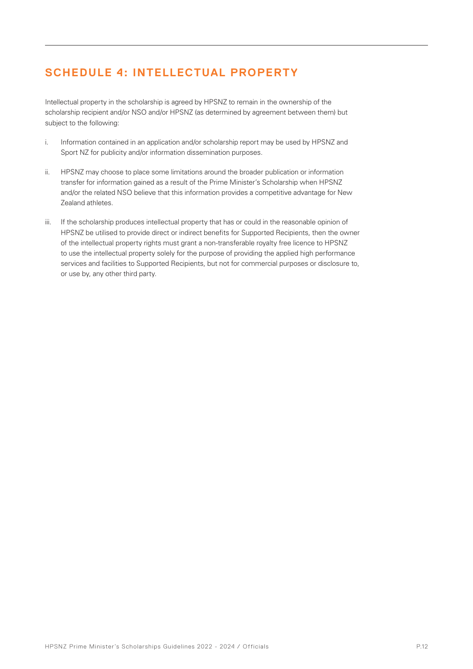# **SCHEDULE 4: INTELLECTUAL PROPERTY**

Intellectual property in the scholarship is agreed by HPSNZ to remain in the ownership of the scholarship recipient and/or NSO and/or HPSNZ (as determined by agreement between them) but subject to the following:

- i. Information contained in an application and/or scholarship report may be used by HPSNZ and Sport NZ for publicity and/or information dissemination purposes.
- ii. HPSNZ may choose to place some limitations around the broader publication or information transfer for information gained as a result of the Prime Minister's Scholarship when HPSNZ and/or the related NSO believe that this information provides a competitive advantage for New Zealand athletes.
- iii. If the scholarship produces intellectual property that has or could in the reasonable opinion of HPSNZ be utilised to provide direct or indirect benefits for Supported Recipients, then the owner of the intellectual property rights must grant a non-transferable royalty free licence to HPSNZ to use the intellectual property solely for the purpose of providing the applied high performance services and facilities to Supported Recipients, but not for commercial purposes or disclosure to, or use by, any other third party.